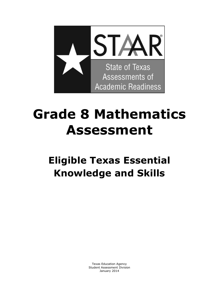

# **Grade 8 Mathematics Assessment**

# **Eligible Texas Essential Knowledge and Skills**

 Texas Education Agency Student Assessment Division January 2014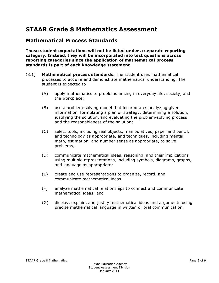# **STAAR Grade 8 Mathematics Assessment**

#### **Mathematical Process Standards**

**These student expectations will not be listed under a separate reporting category. Instead, they will be incorporated into test questions across reporting categories since the application of mathematical process standards is part of each knowledge statement.** 

- (8.1) **Mathematical process standards.** The student uses mathematical processes to acquire and demonstrate mathematical understanding. The student is expected to
	- (A) apply mathematics to problems arising in everyday life, society, and the workplace;
	- (B) use a problem-solving model that incorporates analyzing given information, formulating a plan or strategy, determining a solution, justifying the solution, and evaluating the problem-solving process and the reasonableness of the solution;
	- (C) select tools, including real objects, manipulatives, paper and pencil, and technology as appropriate, and techniques, including mental math, estimation, and number sense as appropriate, to solve problems;
	- (D) communicate mathematical ideas, reasoning, and their implications using multiple representations, including symbols, diagrams, graphs, and language as appropriate;
	- (E) create and use representations to organize, record, and communicate mathematical ideas;
	- (F) analyze mathematical relationships to connect and communicate mathematical ideas; and
	- (G) display, explain, and justify mathematical ideas and arguments using precise mathematical language in written or oral communication.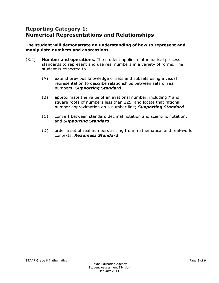#### **Reporting Category 1: Numerical Representations and Relationships**

#### **The student will demonstrate an understanding of how to represent and manipulate numbers and expressions.**

- (8.2) **Number and operations.** The student applies mathematical process standards to represent and use real numbers in a variety of forms. The student is expected to
	- (A) extend previous knowledge of sets and subsets using a visual representation to describe relationships between sets of real numbers; *Supporting Standard*
	- (B) approximate the value of an irrational number, including  $\pi$  and square roots of numbers less than 225, and locate that rational number approximation on a number line; *Supporting Standard*
	- (C) convert between standard decimal notation and scientific notation; and *Supporting Standard*
	- (D) order a set of real numbers arising from mathematical and real-world contexts. *Readiness Standard*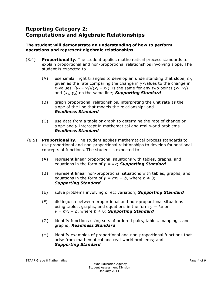# **Reporting Category 2: Computations and Algebraic Relationships**

#### **The student will demonstrate an understanding of how to perform operations and represent algebraic relationships.**

- (8.4) **Proportionality.** The student applies mathematical process standards to explain proportional and non-proportional relationships involving slope. The student is expected to
	- (A) use similar right triangles to develop an understanding that slope, *m*, given as the rate comparing the change in *y*-values to the change in *x*-values,  $(y_2 - y_1)/(x_2 - x_1)$ , is the same for any two points  $(x_1, y_1)$ and  $(x_2, y_2)$  on the same line; **Supporting Standard**
	- (B) graph proportional relationships, interpreting the unit rate as the slope of the line that models the relationship; and *Readiness Standard*
	- (C) use data from a table or graph to determine the rate of change or slope and *y*-intercept in mathematical and real-world problems. *Readiness Standard*
- (8.5) **Proportionality.** The student applies mathematical process standards to use proportional and non-proportional relationships to develop foundational concepts of functions. The student is expected to
	- (A) represent linear proportional situations with tables, graphs, and equations in the form of *y = kx*; *Supporting Standard*
	- (B) represent linear non-proportional situations with tables, graphs, and equations in the form of  $y = mx + b$ , where  $b \ne 0$ ; *Supporting Standard*
	- (E) solve problems involving direct variation; *Supporting Standard*
	- (F) distinguish between proportional and non-proportional situations using tables, graphs, and equations in the form *y = kx* or  $y = mx + b$ , where  $b \neq 0$ ; **Supporting Standard**
	- (G) identify functions using sets of ordered pairs, tables, mappings, and graphs; *Readiness Standard*
	- (H) identify examples of proportional and non-proportional functions that arise from mathematical and real-world problems; and *Supporting Standard*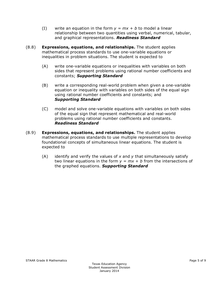- (I) write an equation in the form  $y = mx + b$  to model a linear relationship between two quantities using verbal, numerical, tabular, and graphical representations. *Readiness Standard*
- (8.8) **Expressions, equations, and relationships.** The student applies mathematical process standards to use one-variable equations or inequalities in problem situations. The student is expected to
	- (A) write one-variable equations or inequalities with variables on both sides that represent problems using rational number coefficients and constants; *Supporting Standard*
	- (B) write a corresponding real-world problem when given a one-variable equation or inequality with variables on both sides of the equal sign using rational number coefficients and constants; and *Supporting Standard*
	- (C) model and solve one-variable equations with variables on both sides of the equal sign that represent mathematical and real-world problems using rational number coefficients and constants. *Readiness Standard*
- (8.9) **Expressions, equations, and relationships.** The student applies mathematical process standards to use multiple representations to develop foundational concepts of simultaneous linear equations. The student is expected to
	- (A) identify and verify the values of *x* and *y* that simultaneously satisfy two linear equations in the form  $y = mx + b$  from the intersections of the graphed equations. *Supporting Standard*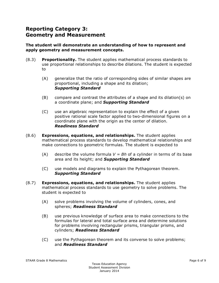# **Reporting Category 3: Geometry and Measurement**

#### **The student will demonstrate an understanding of how to represent and apply geometry and measurement concepts.**

- (8.3) **Proportionality.** The student applies mathematical process standards to use proportional relationships to describe dilations. The student is expected to
	- (A) generalize that the ratio of corresponding sides of similar shapes are proportional, including a shape and its dilation; *Supporting Standard*
	- (B) compare and contrast the attributes of a shape and its dilation(s) on a coordinate plane; and *Supporting Standard*
	- (C) use an algebraic representation to explain the effect of a given positive rational scale factor applied to two-dimensional figures on a coordinate plane with the origin as the center of dilation. *Readiness Standard*
- (8.6) **Expressions, equations, and relationships.** The student applies mathematical process standards to develop mathematical relationships and make connections to geometric formulas. The student is expected to
	- (A) describe the volume formula  $V = Bh$  of a cylinder in terms of its base area and its height; and *Supporting Standard*
	- (C) use models and diagrams to explain the Pythagorean theorem. *Supporting Standard*
- (8.7) **Expressions, equations, and relationships.** The student applies mathematical process standards to use geometry to solve problems. The student is expected to
	- (A) solve problems involving the volume of cylinders, cones, and spheres; *Readiness Standard*
	- (B) use previous knowledge of surface area to make connections to the formulas for lateral and total surface area and determine solutions for problems involving rectangular prisms, triangular prisms, and cylinders; *Readiness Standard*
	- (C) use the Pythagorean theorem and its converse to solve problems; and *Readiness Standard*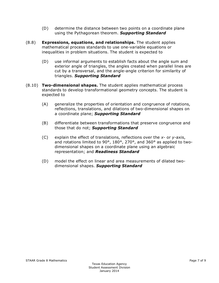- (D) determine the distance between two points on a coordinate plane using the Pythagorean theorem. *Supporting Standard*
- (8.8) **Expressions, equations, and relationships.** The student applies mathematical process standards to use one-variable equations or inequalities in problem situations. The student is expected to
	- (D) use informal arguments to establish facts about the angle sum and exterior angle of triangles, the angles created when parallel lines are cut by a transversal, and the angle-angle criterion for similarity of triangles. *Supporting Standard*
- (8.10) **Two-dimensional shapes.** The student applies mathematical process standards to develop transformational geometry concepts. The student is expected to
	- (A) generalize the properties of orientation and congruence of rotations, reflections, translations, and dilations of two-dimensional shapes on a coordinate plane; *Supporting Standard*
	- (B) differentiate between transformations that preserve congruence and those that do not; *Supporting Standard*
	- (C) explain the effect of translations, reflections over the *x* or *y*-axis, and rotations limited to 90°, 180°, 270°, and 360° as applied to twodimensional shapes on a coordinate plane using an algebraic representation; and *Readiness Standard*
	- (D) model the effect on linear and area measurements of dilated twodimensional shapes. *Supporting Standard*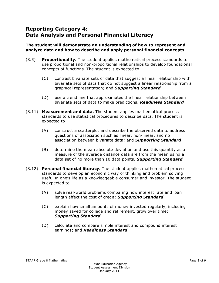# **Reporting Category 4: Data Analysis and Personal Financial Literacy**

#### **The student will demonstrate an understanding of how to represent and analyze data and how to describe and apply personal financial concepts.**

- (8.5) **Proportionality.** The student applies mathematical process standards to use proportional and non-proportional relationships to develop foundational concepts of functions. The student is expected to
	- (C) contrast bivariate sets of data that suggest a linear relationship with bivariate sets of data that do not suggest a linear relationship from a graphical representation; and *Supporting Standard*
	- (D) use a trend line that approximates the linear relationship between bivariate sets of data to make predictions. *Readiness Standard*
- (8.11) **Measurement and data.** The student applies mathematical process standards to use statistical procedures to describe data. The student is expected to
	- (A) construct a scatterplot and describe the observed data to address questions of association such as linear, non-linear, and no association between bivariate data; and *Supporting Standard*
	- (B) determine the mean absolute deviation and use this quantity as a measure of the average distance data are from the mean using a data set of no more than 10 data points. *Supporting Standard*
- (8.12) **Personal financial literacy.** The student applies mathematical process standards to develop an economic way of thinking and problem solving useful in one's life as a knowledgeable consumer and investor. The student is expected to
	- (A) solve real-world problems comparing how interest rate and loan length affect the cost of credit; *Supporting Standard*
	- (C) explain how small amounts of money invested regularly, including money saved for college and retirement, grow over time; *Supporting Standard*
	- (D) calculate and compare simple interest and compound interest earnings; and *Readiness Standard*